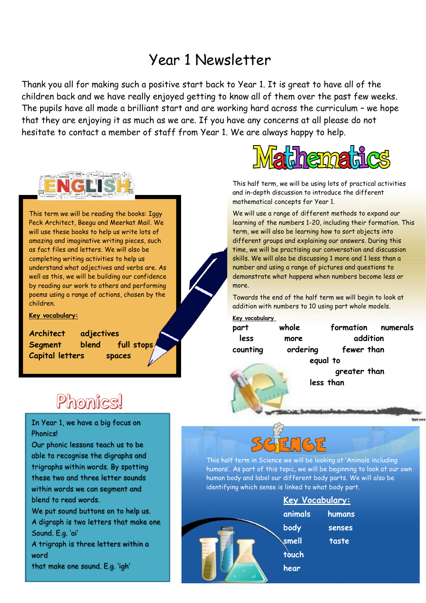### Year 1 Newsletter

Thank you all for making such a positive start back to Year 1. It is great to have all of the children back and we have really enjoyed getting to know all of them over the past few weeks. The pupils have all made a brilliant start and are working hard across the curriculum – we hope that they are enjoying it as much as we are. If you have any concerns at all please do not hesitate to contact a member of staff from Year 1. We are always happy to help.



This term we will be reading the books: Iggy Peck Architect, Beegu and Meerkat Mail. We will use these books to help us write lots of amazing and imaginative writing pieces, such as fact files and letters. We will also be completing writing activities to help us understand what adjectives and verbs are. As well as this, we will be building our confidence by reading our work to others and performing poems using a range of actions, chosen by the children.

**Key vocabulary:**

**Architect adjectives Segment blend full stops Capital letters spaces** 



This half term, we will be using lots of practical activities and in-depth discussion to introduce the different mathematical concepts for Year 1.

We will use a range of different methods to expand our learning of the numbers 1-20, including their formation. This term, we will also be learning how to sort objects into different groups and explaining our answers. During this time, we will be practising our conversation and discussion skills. We will also be discussing 1 more and 1 less than a number and using a range of pictures and questions to demonstrate what happens when numbers become less or more.

Towards the end of the half term we will begin to look at addition with numbers to 10 using part whole models.

**Key vocabulary** 

| less     |  |
|----------|--|
| counting |  |

**equal to** 

**part whole formation numerals more** addition ordering fewer than

> **greater than less than**

### Phonics

In Year 1, we have a big focus on Phonics!

Our phonic lessons teach us to be able to recognise the digraphs and trigraphs within words. By spotting these two and three letter sounds within words we can segment and blend to read words. We put sound buttons on to help us.

A digraph is two letters that make one Sound. E.g. 'ai'

A trigraph is three letters within a word

that make one sound. E.g. 'igh'



This half term in Science we will be looking at 'Animals including humans'. As part of this topic, we will be beginning to look at our own human body and label our different body parts. We will also be identifying which sense is linked to what body part.

| Key Vocabulary: |               |  |
|-----------------|---------------|--|
| animals         | humans        |  |
| body            | <b>senses</b> |  |
| smell           | taste         |  |
| touch           |               |  |
| hear            |               |  |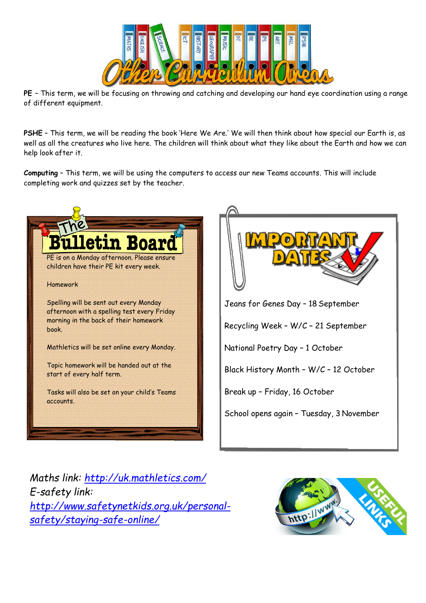

**PE** – This term, we will be focusing on throwing and catching and developing our hand eye coordination using a range of different equipment.

**PSHE** – This term, we will be reading the book 'Here We Are.' We will then think about how special our Earth is, as well as all the creatures who live here. The children will think about what they like about the Earth and how we can help look after it.

**Computing** – This term, we will be using the computers to access our new Teams accounts. This will include completing work and quizzes set by the teacher.



*Maths link:<http://uk.mathletics.com/> E-safety link: [http://www.safetynetkids.org.uk/personal](http://www.safetynetkids.org.uk/personal-safety/staying-safe-online/)[safety/staying-safe-online/](http://www.safetynetkids.org.uk/personal-safety/staying-safe-online/)*